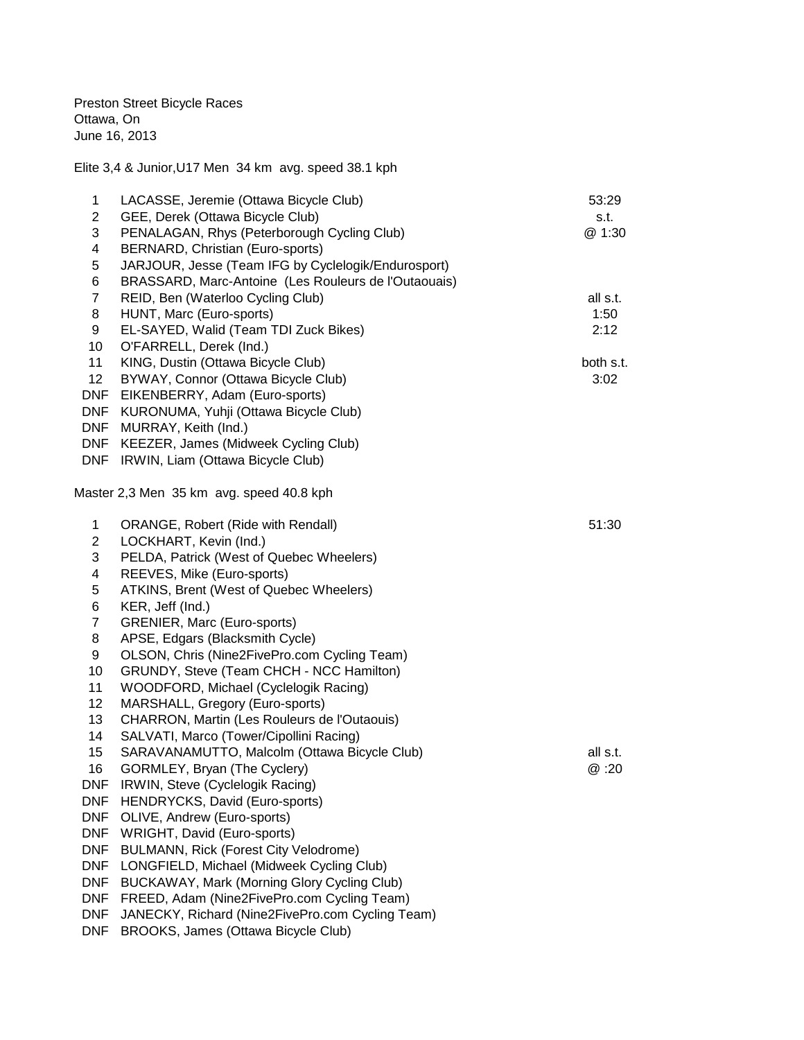Preston Street Bicycle Races Ottawa, On June 16, 2013

Elite 3,4 & Junior,U17 Men 34 km avg. speed 38.1 kph

| 1               | LACASSE, Jeremie (Ottawa Bicycle Club)                                   | 53:29     |
|-----------------|--------------------------------------------------------------------------|-----------|
| $\overline{2}$  | GEE, Derek (Ottawa Bicycle Club)                                         | s.t.      |
| 3               | PENALAGAN, Rhys (Peterborough Cycling Club)                              | @ 1:30    |
| 4               | BERNARD, Christian (Euro-sports)                                         |           |
| 5               | JARJOUR, Jesse (Team IFG by Cyclelogik/Endurosport)                      |           |
| 6               | BRASSARD, Marc-Antoine (Les Rouleurs de l'Outaouais)                     |           |
| $\overline{7}$  | REID, Ben (Waterloo Cycling Club)                                        | all s.t.  |
| 8               | HUNT, Marc (Euro-sports)                                                 | 1:50      |
| 9               | EL-SAYED, Walid (Team TDI Zuck Bikes)                                    | 2:12      |
| 10              | O'FARRELL, Derek (Ind.)                                                  |           |
| 11              | KING, Dustin (Ottawa Bicycle Club)                                       | both s.t. |
| 12 <sup>2</sup> | BYWAY, Connor (Ottawa Bicycle Club)                                      | 3:02      |
| <b>DNF</b>      | EIKENBERRY, Adam (Euro-sports)                                           |           |
|                 | DNF KURONUMA, Yuhji (Ottawa Bicycle Club)                                |           |
|                 | DNF MURRAY, Keith (Ind.)                                                 |           |
|                 | DNF KEEZER, James (Midweek Cycling Club)                                 |           |
|                 | DNF IRWIN, Liam (Ottawa Bicycle Club)                                    |           |
|                 | Master 2,3 Men 35 km avg. speed 40.8 kph                                 |           |
|                 |                                                                          |           |
| 1               | ORANGE, Robert (Ride with Rendall)                                       | 51:30     |
| $\overline{2}$  | LOCKHART, Kevin (Ind.)                                                   |           |
| 3               | PELDA, Patrick (West of Quebec Wheelers)                                 |           |
| 4               | REEVES, Mike (Euro-sports)                                               |           |
| 5               | ATKINS, Brent (West of Quebec Wheelers)                                  |           |
| 6               | KER, Jeff (Ind.)                                                         |           |
| $\overline{7}$  | GRENIER, Marc (Euro-sports)                                              |           |
| 8               | APSE, Edgars (Blacksmith Cycle)                                          |           |
| 9<br>10         | OLSON, Chris (Nine2FivePro.com Cycling Team)                             |           |
|                 | GRUNDY, Steve (Team CHCH - NCC Hamilton)                                 |           |
| 11<br>12        | WOODFORD, Michael (Cyclelogik Racing)<br>MARSHALL, Gregory (Euro-sports) |           |
| 13              | CHARRON, Martin (Les Rouleurs de l'Outaouis)                             |           |
| 14              | SALVATI, Marco (Tower/Cipollini Racing)                                  |           |
| 15              | SARAVANAMUTTO, Malcolm (Ottawa Bicycle Club)                             | all s.t.  |
| 16              | GORMLEY, Bryan (The Cyclery)                                             | @ :20     |
| <b>DNF</b>      | IRWIN, Steve (Cyclelogik Racing)                                         |           |
| <b>DNF</b>      | HENDRYCKS, David (Euro-sports)                                           |           |
| <b>DNF</b>      | OLIVE, Andrew (Euro-sports)                                              |           |
| <b>DNF</b>      | WRIGHT, David (Euro-sports)                                              |           |
| <b>DNF</b>      | <b>BULMANN, Rick (Forest City Velodrome)</b>                             |           |
| <b>DNF</b>      | LONGFIELD, Michael (Midweek Cycling Club)                                |           |
| <b>DNF</b>      | BUCKAWAY, Mark (Morning Glory Cycling Club)                              |           |
| <b>DNF</b>      | FREED, Adam (Nine2FivePro.com Cycling Team)                              |           |
| <b>DNF</b>      | JANECKY, Richard (Nine2FivePro.com Cycling Team)                         |           |
| <b>DNF</b>      | BROOKS, James (Ottawa Bicycle Club)                                      |           |
|                 |                                                                          |           |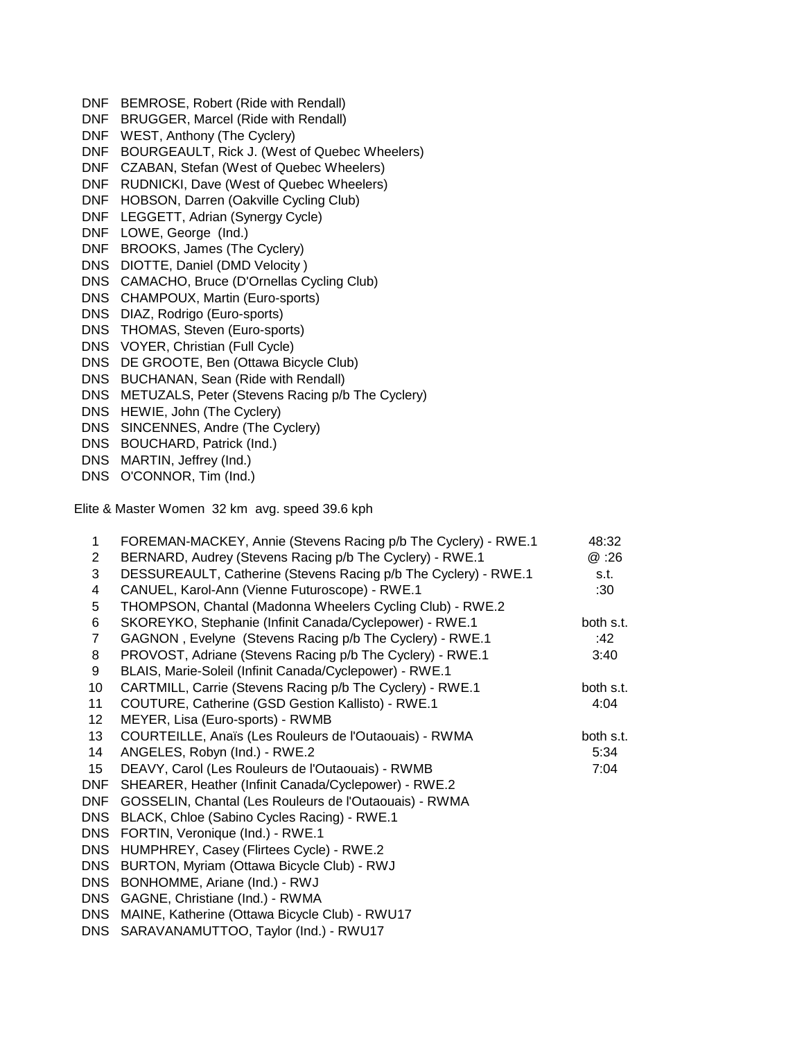- DNF BEMROSE, Robert (Ride with Rendall) DNF BRUGGER, Marcel (Ride with Rendall) DNF WEST, Anthony (The Cyclery) DNF BOURGEAULT, Rick J. (West of Quebec Wheelers) DNF CZABAN, Stefan (West of Quebec Wheelers) DNF RUDNICKI, Dave (West of Quebec Wheelers) DNF HOBSON, Darren (Oakville Cycling Club) DNF LEGGETT, Adrian (Synergy Cycle) DNF LOWE, George (Ind.) DNF BROOKS, James (The Cyclery) DNS DIOTTE, Daniel (DMD Velocity ) DNS CAMACHO, Bruce (D'Ornellas Cycling Club) DNS CHAMPOUX, Martin (Euro-sports) DNS DIAZ, Rodrigo (Euro-sports) DNS THOMAS, Steven (Euro-sports) DNS VOYER, Christian (Full Cycle) DNS DE GROOTE, Ben (Ottawa Bicycle Club) DNS BUCHANAN, Sean (Ride with Rendall) DNS METUZALS, Peter (Stevens Racing p/b The Cyclery) DNS HEWIE, John (The Cyclery) DNS SINCENNES, Andre (The Cyclery)
- DNS BOUCHARD, Patrick (Ind.)
- DNS MARTIN, Jeffrey (Ind.)
- DNS O'CONNOR, Tim (Ind.)

Elite & Master Women 32 km avg. speed 39.6 kph

| $\mathbf 1$    | FOREMAN-MACKEY, Annie (Stevens Racing p/b The Cyclery) - RWE.1  | 48:32     |
|----------------|-----------------------------------------------------------------|-----------|
| $\overline{2}$ | BERNARD, Audrey (Stevens Racing p/b The Cyclery) - RWE.1        | @:26      |
| 3              | DESSUREAULT, Catherine (Stevens Racing p/b The Cyclery) - RWE.1 | s.t.      |
| 4              | CANUEL, Karol-Ann (Vienne Futuroscope) - RWE.1                  | :30       |
| 5              | THOMPSON, Chantal (Madonna Wheelers Cycling Club) - RWE.2       |           |
| 6              | SKOREYKO, Stephanie (Infinit Canada/Cyclepower) - RWE.1         | both s.t. |
| $\overline{7}$ | GAGNON, Evelyne (Stevens Racing p/b The Cyclery) - RWE.1        | :42       |
| 8              | PROVOST, Adriane (Stevens Racing p/b The Cyclery) - RWE.1       | 3:40      |
| 9              | BLAIS, Marie-Soleil (Infinit Canada/Cyclepower) - RWE.1         |           |
| 10             | CARTMILL, Carrie (Stevens Racing p/b The Cyclery) - RWE.1       | both s.t. |
| 11             | COUTURE, Catherine (GSD Gestion Kallisto) - RWE.1               | 4:04      |
| 12             | MEYER, Lisa (Euro-sports) - RWMB                                |           |
| 13             | COURTEILLE, Anaïs (Les Rouleurs de l'Outaouais) - RWMA          | both s.t. |
| 14             | ANGELES, Robyn (Ind.) - RWE.2                                   | 5:34      |
| 15             | DEAVY, Carol (Les Rouleurs de l'Outaouais) - RWMB               | 7:04      |
| <b>DNF</b>     | SHEARER, Heather (Infinit Canada/Cyclepower) - RWE.2            |           |
| <b>DNF</b>     | GOSSELIN, Chantal (Les Rouleurs de l'Outaouais) - RWMA          |           |
| <b>DNS</b>     | BLACK, Chloe (Sabino Cycles Racing) - RWE.1                     |           |
| <b>DNS</b>     | FORTIN, Veronique (Ind.) - RWE.1                                |           |
| <b>DNS</b>     | HUMPHREY, Casey (Flirtees Cycle) - RWE.2                        |           |
| <b>DNS</b>     | BURTON, Myriam (Ottawa Bicycle Club) - RWJ                      |           |
| <b>DNS</b>     | BONHOMME, Ariane (Ind.) - RWJ                                   |           |
| <b>DNS</b>     | GAGNE, Christiane (Ind.) - RWMA                                 |           |
| <b>DNS</b>     | MAINE, Katherine (Ottawa Bicycle Club) - RWU17                  |           |
| <b>DNS</b>     | SARAVANAMUTTOO, Taylor (Ind.) - RWU17                           |           |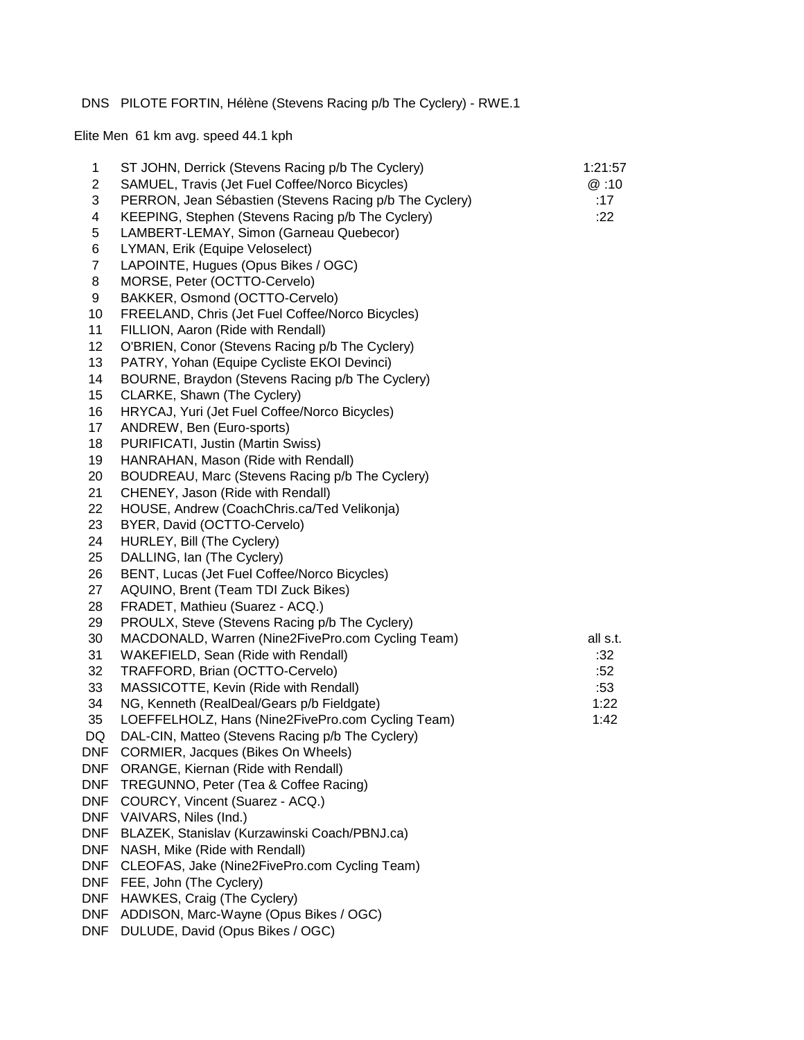## DNS PILOTE FORTIN, Hélène (Stevens Racing p/b The Cyclery) - RWE.1

Elite Men 61 km avg. speed 44.1 kph

| 1<br>$\overline{2}$ | ST JOHN, Derrick (Stevens Racing p/b The Cyclery)                                                          | 1:21:57<br>@:10 |
|---------------------|------------------------------------------------------------------------------------------------------------|-----------------|
| 3                   | SAMUEL, Travis (Jet Fuel Coffee/Norco Bicycles)<br>PERRON, Jean Sébastien (Stevens Racing p/b The Cyclery) | :17             |
| 4                   | KEEPING, Stephen (Stevens Racing p/b The Cyclery)                                                          | :22             |
| 5                   | LAMBERT-LEMAY, Simon (Garneau Quebecor)                                                                    |                 |
| 6                   | LYMAN, Erik (Equipe Veloselect)                                                                            |                 |
| $\overline{7}$      | LAPOINTE, Hugues (Opus Bikes / OGC)                                                                        |                 |
| 8                   | MORSE, Peter (OCTTO-Cervelo)                                                                               |                 |
| 9                   | BAKKER, Osmond (OCTTO-Cervelo)                                                                             |                 |
| 10                  | FREELAND, Chris (Jet Fuel Coffee/Norco Bicycles)                                                           |                 |
| 11                  | FILLION, Aaron (Ride with Rendall)                                                                         |                 |
| 12                  | O'BRIEN, Conor (Stevens Racing p/b The Cyclery)                                                            |                 |
| 13                  | PATRY, Yohan (Equipe Cycliste EKOI Devinci)                                                                |                 |
| 14                  | BOURNE, Braydon (Stevens Racing p/b The Cyclery)                                                           |                 |
| 15                  | CLARKE, Shawn (The Cyclery)                                                                                |                 |
| 16                  | HRYCAJ, Yuri (Jet Fuel Coffee/Norco Bicycles)                                                              |                 |
| 17                  | ANDREW, Ben (Euro-sports)                                                                                  |                 |
| 18                  | PURIFICATI, Justin (Martin Swiss)                                                                          |                 |
| 19                  | HANRAHAN, Mason (Ride with Rendall)                                                                        |                 |
| 20                  | BOUDREAU, Marc (Stevens Racing p/b The Cyclery)                                                            |                 |
| 21                  | CHENEY, Jason (Ride with Rendall)                                                                          |                 |
| 22                  | HOUSE, Andrew (CoachChris.ca/Ted Velikonja)                                                                |                 |
| 23                  | BYER, David (OCTTO-Cervelo)                                                                                |                 |
| 24                  | HURLEY, Bill (The Cyclery)                                                                                 |                 |
| 25                  | DALLING, Ian (The Cyclery)                                                                                 |                 |
| 26                  | BENT, Lucas (Jet Fuel Coffee/Norco Bicycles)                                                               |                 |
| 27                  | AQUINO, Brent (Team TDI Zuck Bikes)                                                                        |                 |
| 28                  | FRADET, Mathieu (Suarez - ACQ.)                                                                            |                 |
| 29                  | PROULX, Steve (Stevens Racing p/b The Cyclery)                                                             |                 |
| 30                  | MACDONALD, Warren (Nine2FivePro.com Cycling Team)                                                          | all s.t.        |
| 31                  | WAKEFIELD, Sean (Ride with Rendall)                                                                        | :32             |
| 32                  | TRAFFORD, Brian (OCTTO-Cervelo)                                                                            | :52             |
| 33                  | MASSICOTTE, Kevin (Ride with Rendall)                                                                      | :53             |
| 34                  | NG, Kenneth (RealDeal/Gears p/b Fieldgate)                                                                 | 1:22            |
| 35                  | LOEFFELHOLZ, Hans (Nine2FivePro.com Cycling Team)                                                          | 1:42            |
| DQ<br>DNF           | DAL-CIN, Matteo (Stevens Racing p/b The Cyclery)                                                           |                 |
| <b>DNF</b>          | <b>CORMIER, Jacques (Bikes On Wheels)</b><br>ORANGE, Kiernan (Ride with Rendall)                           |                 |
| DNF                 | TREGUNNO, Peter (Tea & Coffee Racing)                                                                      |                 |
| DNF                 | COURCY, Vincent (Suarez - ACQ.)                                                                            |                 |
| <b>DNF</b>          | VAIVARS, Niles (Ind.)                                                                                      |                 |
| <b>DNF</b>          | BLAZEK, Stanislav (Kurzawinski Coach/PBNJ.ca)                                                              |                 |
| DNF                 | NASH, Mike (Ride with Rendall)                                                                             |                 |
| DNF                 | CLEOFAS, Jake (Nine2FivePro.com Cycling Team)                                                              |                 |
| DNF                 | FEE, John (The Cyclery)                                                                                    |                 |
| DNF                 | HAWKES, Craig (The Cyclery)                                                                                |                 |
| DNF                 | ADDISON, Marc-Wayne (Opus Bikes / OGC)                                                                     |                 |
| <b>DNF</b>          | DULUDE, David (Opus Bikes / OGC)                                                                           |                 |
|                     |                                                                                                            |                 |